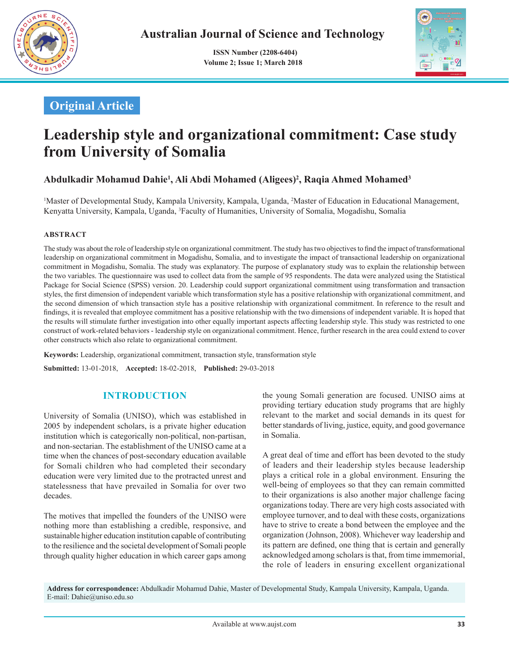

 **ISSN Number (2208-6404) Volume 2; Issue 1; March 2018**



# **Original Article**

# **Leadership style and organizational commitment: Case study from University of Somalia**

# **Abdulkadir Mohamud Dahie1 , Ali Abdi Mohamed (Aligees)2 , Raqia Ahmed Mohamed3**

<sup>1</sup>Master of Developmental Study, Kampala University, Kampala, Uganda, <sup>2</sup>Master of Education in Educational Management, Kenyatta University, Kampala, Uganda, <sup>3</sup>Faculty of Humanities, University of Somalia, Mogadishu, Somalia

#### **ABSTRACT**

The study was about the role of leadership style on organizational commitment. The study has two objectives to find the impact of transformational leadership on organizational commitment in Mogadishu, Somalia, and to investigate the impact of transactional leadership on organizational commitment in Mogadishu, Somalia. The study was explanatory. The purpose of explanatory study was to explain the relationship between the two variables. The questionnaire was used to collect data from the sample of 95 respondents. The data were analyzed using the Statistical Package for Social Science (SPSS) version. 20. Leadership could support organizational commitment using transformation and transaction styles, the first dimension of independent variable which transformation style has a positive relationship with organizational commitment, and the second dimension of which transaction style has a positive relationship with organizational commitment. In reference to the result and findings, it is revealed that employee commitment has a positive relationship with the two dimensions of independent variable. It is hoped that the results will stimulate further investigation into other equally important aspects affecting leadership style. This study was restricted to one construct of work-related behaviors - leadership style on organizational commitment. Hence, further research in the area could extend to cover other constructs which also relate to organizational commitment.

**Keywords:** Leadership, organizational commitment, transaction style, transformation style

**Submitted:** 13-01-2018, **Accepted:** 18-02-2018, **Published:** 29-03-2018

# **INTRODUCTION**

University of Somalia (UNISO), which was established in 2005 by independent scholars, is a private higher education institution which is categorically non-political, non-partisan, and non-sectarian. The establishment of the UNISO came at a time when the chances of post-secondary education available for Somali children who had completed their secondary education were very limited due to the protracted unrest and statelessness that have prevailed in Somalia for over two decades.

The motives that impelled the founders of the UNISO were nothing more than establishing a credible, responsive, and sustainable higher education institution capable of contributing to the resilience and the societal development of Somali people through quality higher education in which career gaps among the young Somali generation are focused. UNISO aims at providing tertiary education study programs that are highly relevant to the market and social demands in its quest for better standards of living, justice, equity, and good governance in Somalia.

A great deal of time and effort has been devoted to the study of leaders and their leadership styles because leadership plays a critical role in a global environment. Ensuring the well-being of employees so that they can remain committed to their organizations is also another major challenge facing organizations today. There are very high costs associated with employee turnover, and to deal with these costs, organizations have to strive to create a bond between the employee and the organization (Johnson, 2008). Whichever way leadership and its pattern are defined, one thing that is certain and generally acknowledged among scholars is that, from time immemorial, the role of leaders in ensuring excellent organizational

**Address for correspondence:** Abdulkadir Mohamud Dahie, Master of Developmental Study, Kampala University, Kampala, Uganda. E-mail: Dahie@uniso.edu.so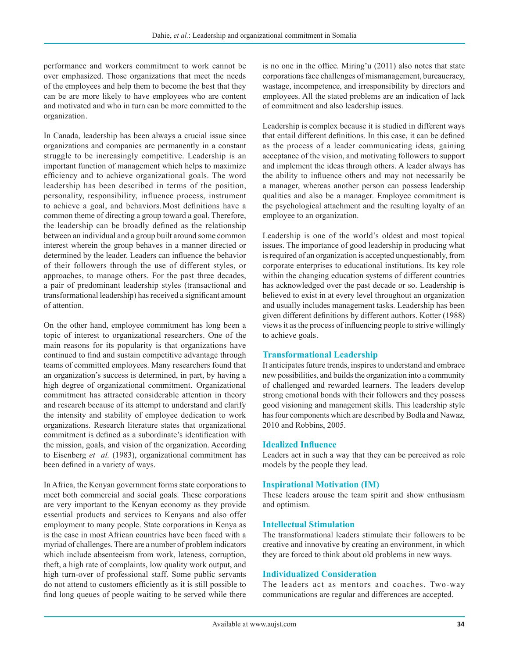performance and workers commitment to work cannot be over emphasized. Those organizations that meet the needs of the employees and help them to become the best that they can be are more likely to have employees who are content and motivated and who in turn can be more committed to the organization .

In Canada, leadership has been always a crucial issue since organizations and companies are permanently in a constant struggle to be increasingly competitive. Leadership is an important function of management which helps to maximize efficiency and to achieve organizational goals. The word leadership has been described in terms of the position, personality, responsibility, influence process, instrument to achieve a goal, and behaviors. Most definitions have a common theme of directing a group toward a goal. Therefore, the leadership can be broadly defined as the relationship between an individual and a group built around some common interest wherein the group behaves in a manner directed or determined by the leader. Leaders can influence the behavior of their followers through the use of different styles, or approaches, to manage others. For the past three decades, a pair of predominant leadership styles (transactional and transformational leadership) has received a significant amount of attention.

On the other hand, employee commitment has long been a topic of interest to organizational researchers. One of the main reasons for its popularity is that organizations have continued to find and sustain competitive advantage through teams of committed employees. Many researchers found that an organization's success is determined, in part, by having a high degree of organizational commitment. Organizational commitment has attracted considerable attention in theory and research because of its attempt to understand and clarify the intensity and stability of employee dedication to work organizations. Research literature states that organizational commitment is defined as a subordinate's identification with the mission, goals, and vision of the organization. According to Eisenberg *et al.* (1983), organizational commitment has been defined in a variety of ways.

In Africa, the Kenyan government forms state corporations to meet both commercial and social goals. These corporations are very important to the Kenyan economy as they provide essential products and services to Kenyans and also offer employment to many people. State corporations in Kenya as is the case in most African countries have been faced with a myriad of challenges. There are a number of problem indicators which include absenteeism from work, lateness, corruption, theft, a high rate of complaints, low quality work output, and high turn-over of professional staff. Some public servants do not attend to customers efficiently as it is still possible to find long queues of people waiting to be served while there is no one in the office. Miring'u (2011) also notes that state corporations face challenges of mismanagement, bureaucracy, wastage, incompetence, and irresponsibility by directors and employees. All the stated problems are an indication of lack of commitment and also leadership issues. 

Leadership is complex because it is studied in different ways that entail different definitions. In this case, it can be defined as the process of a leader communicating ideas, gaining acceptance of the vision, and motivating followers to support and implement the ideas through others. A leader always has the ability to influence others and may not necessarily be a manager, whereas another person can possess leadership qualities and also be a manager. Employee commitment is the psychological attachment and the resulting loyalty of an employee to an organization. 

Leadership is one of the world's oldest and most topical issues. The importance of good leadership in producing what is required of an organization is accepted unquestionably, from corporate enterprises to educational institutions. Its key role within the changing education systems of different countries has acknowledged over the past decade or so. Leadership is believed to exist in at every level throughout an organization and usually includes management tasks. Leadership has been given different definitions by different authors. Kotter (1988) views it as the process of influencing people to strive willingly to achieve goals .

#### **Transformational Leadership**

It anticipates future trends, inspires to understand and embrace new possibilities, and builds the organization into a community of challenged and rewarded learners. The leaders develop strong emotional bonds with their followers and they possess good visioning and management skills. This leadership style has four components which are described by Bodla and Nawaz, 2010 and Robbins, 2005.

#### **Idealized Influence**

Leaders act in such a way that they can be perceived as role models by the people they lead.

#### **Inspirational Motivation (IM)**

These leaders arouse the team spirit and show enthusiasm and optimism.

#### **Intellectual Stimulation**

The transformational leaders stimulate their followers to be creative and innovative by creating an environment, in which they are forced to think about old problems in new ways.

#### **Individualized Consideration**

The leaders act as mentors and coaches. Two-way communications are regular and differences are accepted.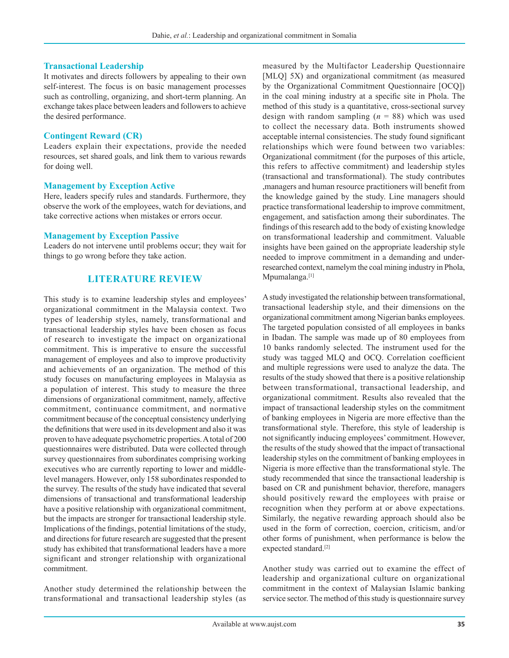#### **Transactional Leadership**

It motivates and directs followers by appealing to their own self-interest. The focus is on basic management processes such as controlling, organizing, and short-term planning. An exchange takes place between leaders and followers to achieve the desired performance.

#### **Contingent Reward (CR)**

Leaders explain their expectations, provide the needed resources, set shared goals, and link them to various rewards for doing well.

#### **Management by Exception Active**

Here, leaders specify rules and standards. Furthermore, they observe the work of the employees, watch for deviations, and take corrective actions when mistakes or errors occur.

#### **Management by Exception Passive**

Leaders do not intervene until problems occur; they wait for things to go wrong before they take action.

## **LITERATURE REVIEW**

This study is to examine leadership styles and employees' organizational commitment in the Malaysia context. Two types of leadership styles, namely, transformational and transactional leadership styles have been chosen as focus of research to investigate the impact on organizational commitment. This is imperative to ensure the successful management of employees and also to improve productivity and achievements of an organization. The method of this study focuses on manufacturing employees in Malaysia as a population of interest. This study to measure the three dimensions of organizational commitment, namely, affective commitment, continuance commitment, and normative commitment because of the conceptual consistency underlying the definitions that were used in its development and also it was proven to have adequate psychometric properties. A total of 200 questionnaires were distributed. Data were collected through survey questionnaires from subordinates comprising working executives who are currently reporting to lower and middlelevel managers. However, only 158 subordinates responded to the survey. The results of the study have indicated that several dimensions of transactional and transformational leadership have a positive relationship with organizational commitment, but the impacts are stronger for transactional leadership style. Implications of the findings, potential limitations of the study, and directions for future research are suggested that the present study has exhibited that transformational leaders have a more significant and stronger relationship with organizational commitment.

Another study determined the relationship between the transformational and transactional leadership styles (as measured by the Multifactor Leadership Questionnaire [MLQ] 5X) and organizational commitment (as measured by the Organizational Commitment Questionnaire [OCQ]) in the coal mining industry at a specific site in Phola. The method of this study is a quantitative, cross-sectional survey design with random sampling  $(n = 88)$  which was used to collect the necessary data. Both instruments showed acceptable internal consistencies. The study found significant relationships which were found between two variables: Organizational commitment (for the purposes of this article, this refers to affective commitment) and leadership styles (transactional and transformational). The study contributes ,managers and human resource practitioners will benefit from the knowledge gained by the study. Line managers should practice transformational leadership to improve commitment, engagement, and satisfaction among their subordinates. The findings of this research add to the body of existing knowledge on transformational leadership and commitment. Valuable insights have been gained on the appropriate leadership style needed to improve commitment in a demanding and underresearched context, namelym the coal mining industry in Phola, Mpumalanga.<sup>[1]</sup>

A study investigated the relationship between transformational, transactional leadership style, and their dimensions on the organizational commitment among Nigerian banks employees. The targeted population consisted of all employees in banks in Ibadan. The sample was made up of 80 employees from 10 banks randomly selected. The instrument used for the study was tagged MLQ and OCQ. Correlation coefficient and multiple regressions were used to analyze the data. The results of the study showed that there is a positive relationship between transformational, transactional leadership, and organizational commitment. Results also revealed that the impact of transactional leadership styles on the commitment of banking employees in Nigeria are more effective than the transformational style. Therefore, this style of leadership is not significantly inducing employees' commitment. However, the results of the study showed that the impact of transactional leadership styles on the commitment of banking employees in Nigeria is more effective than the transformational style. The study recommended that since the transactional leadership is based on CR and punishment behavior, therefore, managers should positively reward the employees with praise or recognition when they perform at or above expectations. Similarly, the negative rewarding approach should also be used in the form of correction, coercion, criticism, and/or other forms of punishment, when performance is below the expected standard.<sup>[2]</sup>

Another study was carried out to examine the effect of leadership and organizational culture on organizational commitment in the context of Malaysian Islamic banking service sector. The method of this study is questionnaire survey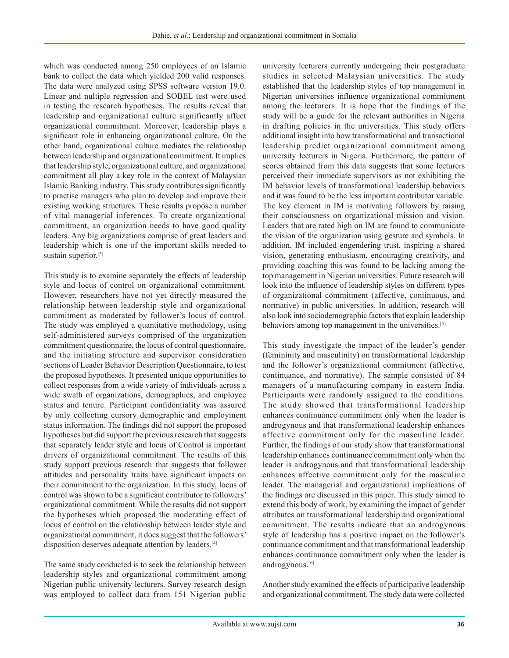which was conducted among 250 employees of an Islamic bank to collect the data which yielded 200 valid responses. The data were analyzed using SPSS software version 19.0. Linear and nultiple regression and SOBEL test were used in testing the research hypotheses. The results reveal that leadership and organizational culture significantly affect organizational commitment. Moreover, leadership plays a significant role in enhancing organizational culture. On the other hand, organizational culture mediates the relationship between leadership and organizational commitment. It implies that leadership style, organizational culture, and organizational commitment all play a key role in the context of Malaysian Islamic Banking industry. This study contributes significantly to practise managers who plan to develop and improve their existing working structures. These results propose a number of vital managerial inferences. To create organizational commitment, an organization needs to have good quality leaders. Any big organizations comprise of great leaders and leadership which is one of the important skills needed to sustain superior.<sup>[3]</sup>

This study is to examine separately the effects of leadership style and locus of control on organizational commitment. However, researchers have not yet directly measured the relationship between leadership style and organizational commitment as moderated by follower's locus of control. The study was employed a quantitative methodology, using self-administered surveys comprised of the organization commitment questionnaire, the locus of control questionnaire, and the initiating structure and supervisor consideration sections of Leader Behavior Description Questionnaire, to test the proposed hypotheses. It presented unique opportunities to collect responses from a wide variety of individuals across a wide swath of organizations, demographics, and employee status and tenure. Participant confidentiality was assured by only collecting cursory demographic and employment status information. The findings did not support the proposed hypotheses but did support the previous research that suggests that separately leader style and locus of Control is important drivers of organizational commitment. The results of this study support previous research  that suggests that follower attitudes and personality traits have significant impacts on their commitment to the organization. In this study, locus of control was shown to be a significant contributor to followers' organizational commitment. While the results did not support the hypotheses which proposed the moderating effect of locus of control on the relationship between leader style and organizational commitment, it does suggest that the followers' disposition deserves adequate attention by leaders.[4]

The same study conducted is to seek the relationship between leadership styles and organizational commitment among Nigerian public university lecturers. Survey research design was employed to collect data from 151 Nigerian public university lecturers currently undergoing their postgraduate studies in selected Malaysian universities. The study established that the leadership styles of top management in Nigerian universities influence organizational commitment among the lecturers. It is hope that the findings of the study will be a guide for the relevant authorities in Nigeria in drafting policies in the universities. This study offers additional insight into how transformational and transactional leadership predict organizational commitment among university lecturers in Nigeria. Furthermore, the pattern of scores obtained from this data suggests that some lecturers perceived their immediate supervisors as not exhibiting the IM behavior levels of transformational leadership behaviors and it was found to be the less important contributor variable. The key element in IM is motivating followers by raising their consciousness on organizational mission and vision. Leaders that are rated high on IM are found to communicate the vision of the organization using gesture and symbols. In addition, IM included engendering trust, inspiring a shared vision, generating enthusiasm, encouraging creativity, and providing coaching this was found to be lacking among the top management in Nigerian universities. Future research will look into the influence of leadership styles on different types of organizational commitment (affective, continuous, and normative) in public universities. In addition, research will also look into sociodemographic factors that explain leadership behaviors among top management in the universities.<sup>[5]</sup>

This study investigate the impact of the leader's gender (femininity and masculinity) on transformational leadership and the follower's organizational commitment (affective, continuance, and normative). The sample consisted of 84 managers of a manufacturing company in eastern India. Participants were randomly assigned to the conditions. The study showed that transformational leadership enhances continuance commitment only when the leader is androgynous and that transformational leadership enhances affective commitment only for the masculine leader. Further, the findings of our study show that transformational leadership enhances continuance commitment only when the leader is androgynous and that transformational leadership enhances affective commitment only for the masculine leader. The managerial and organizational implications of the findings are discussed in this paper. This study aimed to extend this body of work, by examining the impact of gender attributes on transformational leadership and organizational commitment. The results indicate that an androgynous style of leadership has a positive impact on the follower's continuance commitment and that transformational leadership enhances continuance commitment only when the leader is androgynous.[6]

Another study examined the effects of participative leadership and organizational commitment. The study data were collected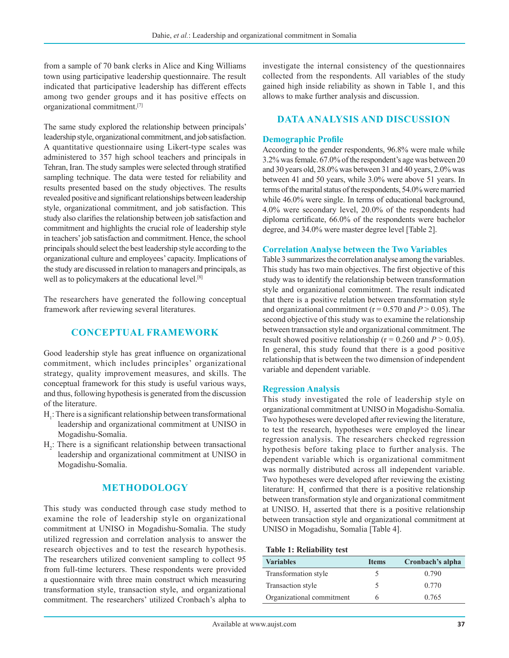from a sample of 70 bank clerks in Alice and King Williams town using participative leadership questionnaire. The result indicated that participative leadership has different effects among two gender groups and it has positive effects on organizational commitment.[7]

The same study explored the relationship between principals' leadership style, organizational commitment, and job satisfaction. A quantitative questionnaire using Likert-type scales was administered to 357 high school teachers and principals in Tehran, Iran. The study samples were selected through stratified sampling technique. The data were tested for reliability and results presented based on the study objectives. The results revealed positive and significant relationships between leadership style, organizational commitment, and job satisfaction. This study also clarifies the relationship between job satisfaction and commitment and highlights the crucial role of leadership style in teachers' job satisfaction and commitment. Hence, the school principals should select the best leadership style according to the organizational culture and employees' capacity. Implications of the study are discussed in relation to managers and principals, as well as to policymakers at the educational level.[8]

The researchers have generated the following conceptual framework after reviewing several literatures.

# **CONCEPTUAL FRAMEWORK**

Good leadership style has great influence on organizational commitment, which includes principles' organizational strategy, quality improvement measures, and skills. The conceptual framework for this study is useful various ways, and thus, following hypothesis is generated from the discussion of the literature.

- $H<sub>1</sub>$ : There is a significant relationship between transformational leadership and organizational commitment at UNISO in Mogadishu-Somalia.
- $H_2$ : There is a significant relationship between transactional leadership and organizational commitment at UNISO in Mogadishu-Somalia.

## **METHODOLOGY**

This study was conducted through case study method to examine the role of leadership style on organizational commitment at UNISO in Mogadishu-Somalia. The study utilized regression and correlation analysis to answer the research objectives and to test the research hypothesis. The researchers utilized convenient sampling to collect 95 from full-time lecturers. These respondents were provided a questionnaire with three main construct which measuring transformation style, transaction style, and organizational commitment. The researchers' utilized Cronbach's alpha to investigate the internal consistency of the questionnaires collected from the respondents. All variables of the study gained high inside reliability as shown in Table 1, and this allows to make further analysis and discussion.

## **DATA ANALYSIS AND DISCUSSION**

#### **Demographic Profile**

According to the gender respondents, 96.8% were male while 3.2% was female. 67.0% of the respondent's age was between 20 and 30 years old, 28.0% was between 31 and 40 years, 2.0% was between 41 and 50 years, while 3.0% were above 51 years. In terms of the marital status of the respondents, 54.0% were married while 46.0% were single. In terms of educational background, 4.0% were secondary level, 20.0% of the respondents had diploma certificate, 66.0% of the respondents were bachelor degree, and 34.0% were master degree level [Table 2].

#### **Correlation Analyse between the Two Variables**

Table 3 summarizes the correlation analyse among the variables. This study has two main objectives. The first objective of this study was to identify the relationship between transformation style and organizational commitment. The result indicated that there is a positive relation between transformation style and organizational commitment ( $r = 0.570$  and  $P > 0.05$ ). The second objective of this study was to examine the relationship between transaction style and organizational commitment. The result showed positive relationship ( $r = 0.260$  and  $P > 0.05$ ). In general, this study found that there is a good positive relationship that is between the two dimension of independent variable and dependent variable.

#### **Regression Analysis**

This study investigated the role of leadership style on organizational commitment at UNISO in Mogadishu-Somalia. Two hypotheses were developed after reviewing the literature, to test the research, hypotheses were employed the linear regression analysis. The researchers checked regression hypothesis before taking place to further analysis. The dependent variable which is organizational commitment was normally distributed across all independent variable. Two hypotheses were developed after reviewing the existing literature:  $H_1$  confirmed that there is a positive relationship between transformation style and organizational commitment at UNISO. H<sub>2</sub> asserted that there is a positive relationship between transaction style and organizational commitment at UNISO in Mogadishu, Somalia [Table 4].

#### **Table 1: Reliability test**

| <b>Variables</b>          | <b>Items</b> | Cronbach's alpha |
|---------------------------|--------------|------------------|
| Transformation style      |              | 0.790            |
| Transaction style         | C.           | 0.770            |
| Organizational commitment |              | 0.765            |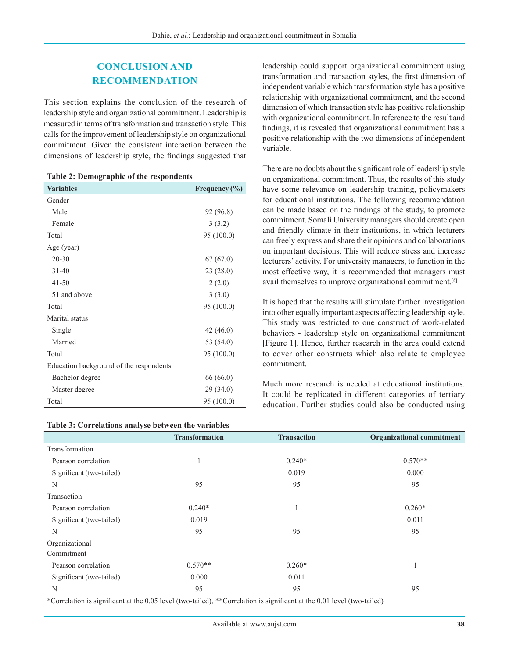# **CONCLUSION AND RECOMMENDATION**

This section explains the conclusion of the research of leadership style and organizational commitment. Leadership is measured in terms of transformation and transaction style. This calls for the improvement of leadership style on organizational commitment. Given the consistent interaction between the dimensions of leadership style, the findings suggested that

| Table 2: Demographic of the respondents |  |  |  |
|-----------------------------------------|--|--|--|
|-----------------------------------------|--|--|--|

| <b>Variables</b>                        | Frequency $(\% )$ |
|-----------------------------------------|-------------------|
| Gender                                  |                   |
| Male                                    | 92 (96.8)         |
| Female                                  | 3(3.2)            |
| Total                                   | 95 (100.0)        |
| Age (year)                              |                   |
| $20 - 30$                               | 67(67.0)          |
| $31 - 40$                               | 23(28.0)          |
| $41 - 50$                               | 2(2.0)            |
| 51 and above                            | 3(3.0)            |
| Total                                   | 95 (100.0)        |
| Marital status                          |                   |
| Single                                  | 42 (46.0)         |
| Married                                 | 53 (54.0)         |
| Total                                   | 95 (100.0)        |
| Education background of the respondents |                   |
| Bachelor degree                         | 66 (66.0)         |
| Master degree                           | 29(34.0)          |
| Total                                   | 95 (100.0)        |

## **Table 3: Correlations analyse between the variables**

leadership could support organizational commitment using transformation and transaction styles, the first dimension of independent variable which transformation style has a positive relationship with organizational commitment, and the second dimension of which transaction style has positive relationship with organizational commitment. In reference to the result and findings, it is revealed that organizational commitment has a positive relationship with the two dimensions of independent variable.

There are no doubts about the significant role of leadership style on organizational commitment. Thus, the results of this study have some relevance on leadership training, policymakers for educational institutions. The following recommendation can be made based on the findings of the study, to promote commitment. Somali University managers should create open and friendly climate in their institutions, in which lecturers can freely express and share their opinions and collaborations on important decisions. This will reduce stress and increase lecturers' activity. For university managers, to function in the most effective way, it is recommended that managers must avail themselves to improve organizational commitment.[8]

It is hoped that the results will stimulate further investigation into other equally important aspects affecting leadership style. This study was restricted to one construct of work-related behaviors - leadership style on organizational commitment [Figure 1]. Hence, further research in the area could extend to cover other constructs which also relate to employee commitment.

Much more research is needed at educational institutions. It could be replicated in different categories of tertiary education. Further studies could also be conducted using

| Table 5. Correlations analyse between the variables |                       |                    |                                  |
|-----------------------------------------------------|-----------------------|--------------------|----------------------------------|
|                                                     | <b>Transformation</b> | <b>Transaction</b> | <b>Organizational commitment</b> |
| Transformation                                      |                       |                    |                                  |
| Pearson correlation                                 | <sup>1</sup>          | $0.240*$           | $0.570**$                        |
| Significant (two-tailed)                            |                       | 0.019              | 0.000                            |
| N                                                   | 95                    | 95                 | 95                               |
| Transaction                                         |                       |                    |                                  |
| Pearson correlation                                 | $0.240*$              |                    | $0.260*$                         |
| Significant (two-tailed)                            | 0.019                 |                    | 0.011                            |
| N                                                   | 95                    | 95                 | 95                               |
| Organizational                                      |                       |                    |                                  |
| Commitment                                          |                       |                    |                                  |
| Pearson correlation                                 | $0.570**$             | $0.260*$           |                                  |
| Significant (two-tailed)                            | 0.000                 | 0.011              |                                  |
| N                                                   | 95                    | 95                 | 95                               |

\*Correlation is significant at the 0.05 level (two‑tailed), \*\*Correlation is significant at the 0.01 level (two‑tailed)